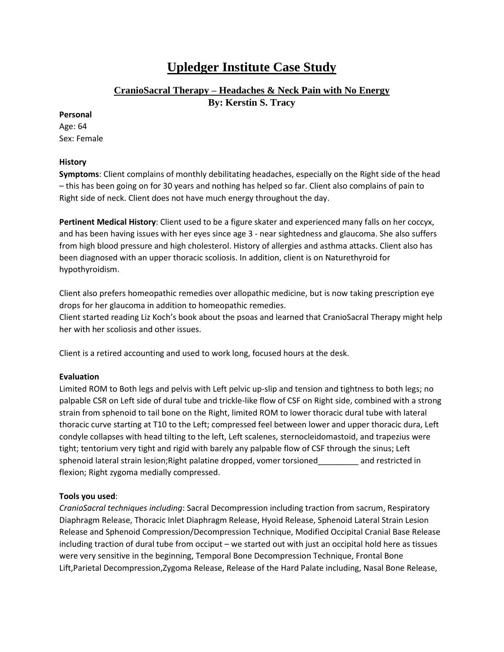# **Upledger Institute Case Study**

# **CranioSacral Therapy – Headaches & Neck Pain with No Energy**

**By: Kerstin S. Tracy**

#### **Personal**

Age: 64 Sex: Female

# **History**

**Symptoms**: Client complains of monthly debilitating headaches, especially on the Right side of the head – this has been going on for 30 years and nothing has helped so far. Client also complains of pain to Right side of neck. Client does not have much energy throughout the day.

**Pertinent Medical History**: Client used to be a figure skater and experienced many falls on her coccyx, and has been having issues with her eyes since age 3 - near sightedness and glaucoma. She also suffers from high blood pressure and high cholesterol. History of allergies and asthma attacks. Client also has been diagnosed with an upper thoracic scoliosis. In addition, client is on Naturethyroid for hypothyroidism.

Client also prefers homeopathic remedies over allopathic medicine, but is now taking prescription eye drops for her glaucoma in addition to homeopathic remedies.

Client started reading Liz Koch's book about the psoas and learned that CranioSacral Therapy might help her with her scoliosis and other issues.

Client is a retired accounting and used to work long, focused hours at the desk.

# **Evaluation**

Limited ROM to Both legs and pelvis with Left pelvic up-slip and tension and tightness to both legs; no palpable CSR on Left side of dural tube and trickle-like flow of CSF on Right side, combined with a strong strain from sphenoid to tail bone on the Right, limited ROM to lower thoracic dural tube with lateral thoracic curve starting at T10 to the Left; compressed feel between lower and upper thoracic dura, Left condyle collapses with head tilting to the left, Left scalenes, sternocleidomastoid, and trapezius were tight; tentorium very tight and rigid with barely any palpable flow of CSF through the sinus; Left sphenoid lateral strain lesion; Right palatine dropped, vomer torsioned and restricted in flexion; Right zygoma medially compressed.

# **Tools you used**:

*CranioSacral techniques including*: Sacral Decompression including traction from sacrum, Respiratory Diaphragm Release, Thoracic Inlet Diaphragm Release, Hyoid Release, Sphenoid Lateral Strain Lesion Release and Sphenoid Compression/Decompression Technique, Modified Occipital Cranial Base Release including traction of dural tube from occiput – we started out with just an occipital hold here as tissues were very sensitive in the beginning, Temporal Bone Decompression Technique, Frontal Bone Lift,Parietal Decompression,Zygoma Release, Release of the Hard Palate including, Nasal Bone Release,